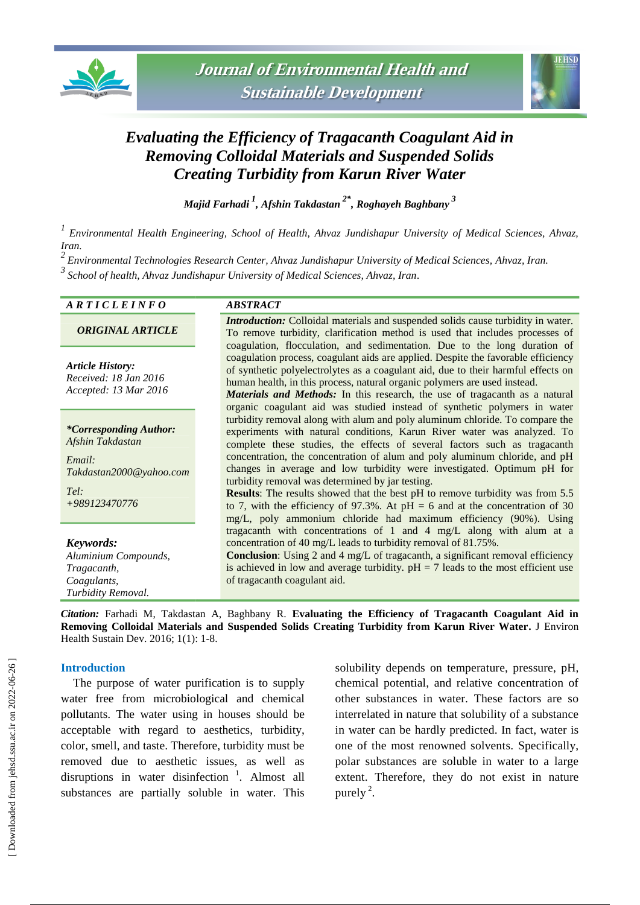



# *Evaluating the Efficiency of Tragacanth Coagulant Aid in Removing Colloidal Materials and Suspended Solids Creating Turbidity from Karun River Water*

*Majid Farhadi <sup>1</sup> , Afshin Takdastan 2\* , Roghayeh Baghbany <sup>3</sup>*

*1 Environmental Health Engineering, School of Health, Ahvaz Jundishapur University of Medical Sciences, Ahvaz, Iran.*

*2 Environmental Technologies Research Center, Ahvaz Jundishapur University of Medical Sciences, Ahvaz, Iran. 3 School of health, Ahvaz Jundishapur University of Medical Sciences, Ahvaz, Iran.*

#### *A R T I C L E I N F O ABSTRACT*

*ORIGINAL ARTICLE*

*Article History: Received: 18 Jan 2016 Accepted: 13 Mar 2016*

*\*Corresponding Author: Afshin Takdastan*

*Email: Takdastan2000@yahoo.com Tel: +989123470776*

*Keywords:*

*[Aluminium Compounds](https://www.ncbi.nlm.nih.gov/mesh/68000534), Tragacanth, Coagulants, Turbidity Removal.*

*Introduction:* Colloidal materials and suspended solids cause turbidity in water. To remove turbidity, clarification method is used that includes processes of coagulation, flocculation, and sedimentation. Due to the long duration of coagulation process, coagulant aids are applied. Despite the favorable efficiency of synthetic polyelectrolytes as a coagulant aid, due to their harmful effects on human health, in this process, natural organic polymers are used instead.

*Materials and Methods:* In this research, the use of tragacanth as a natural organic coagulant aid was studied instead of synthetic polymers in water turbidity removal along with alum and poly aluminum chloride. To compare the experiments with natural conditions, Karun River water was analyzed. To complete these studies, the effects of several factors such as tragacanth concentration, the concentration of alum and poly aluminum chloride, and pH changes in average and low turbidity were investigated. Optimum pH for turbidity removal was determined by jar testing.

**Results**: The results showed that the best pH to remove turbidity was from 5.5 to 7, with the efficiency of 97.3%. At  $pH = 6$  and at the concentration of 30 mg/L, poly ammonium chloride had maximum efficiency (90%). Using tragacanth with concentrations of 1 and 4 mg/L along with alum at a concentration of 40 mg/L leads to turbidity removal of 81.75%.

**Conclusion**: Using 2 and 4 mg/L of tragacanth, a significant removal efficiency is achieved in low and average turbidity.  $pH = 7$  leads to the most efficient use of tragacanth coagulant aid.

*Citation:* Farhadi M, Takdastan A, Baghbany R. **Evaluating the Efficiency of Tragacanth Coagulant Aid in Removing Colloidal Materials and Suspended Solids Creating Turbidity from Karun River Water.** J Environ Health Sustain Dev. 2016; 1(1): 1-8.

#### **Introduction**

The purpose of water purification is to supply water free from microbiological and chemical pollutants. The water using in houses should be acceptable with regard to aesthetics, turbidity, color, smell, and taste. Therefore, turbidity must be removed due to aesthetic issues, as well as disruptions in water disinfection  $\frac{1}{1}$ . Almost all substances are partially soluble in water. This

solubility depends on temperature, pressure, pH, chemical potential, and relative concentration of other substances in water. These factors are so interrelated in nature that solubility of a substance in water can be hardly predicted. In fact, water is one of the most renowned solvents. Specifically, polar substances are soluble in water to a large extent. Therefore, they do not exist in nature purely  $2$ .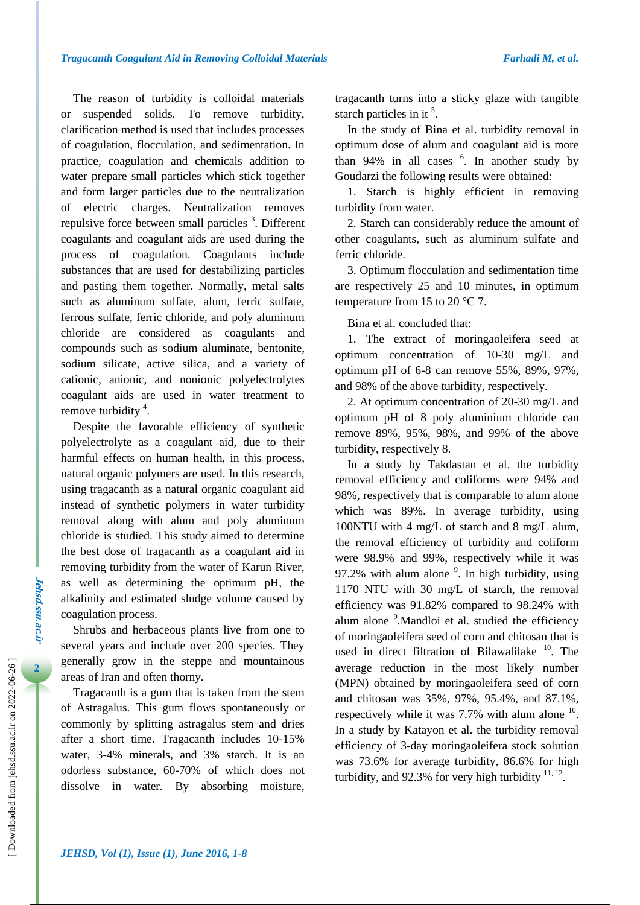The reason of turbidity is colloidal materials or suspended solids. To remove turbidity, clarification method is used that includes processes of coagulation, flocculation, and sedimentation. In practice, coagulation and chemicals addition to water prepare small particles which stick together and form larger particles due to the neutralization of electric charges. Neutralization removes repulsive force between small particles <sup>3</sup>. Different coagulants and coagulant aids are used during the process of coagulation. Coagulants include substances that are used for destabilizing particles and pasting them together. Normally, metal salts such as aluminum sulfate, alum, ferric sulfate, ferrous sulfate, ferric chloride, and poly aluminum chloride are considered as coagulants and compounds such as sodium aluminate, bentonite, sodium silicate, active silica, and a variety of cationic, anionic, and nonionic [polyelectrolytes](https://scholar.google.com/scholar?hl=en&as_sdt=0,5&q=polyelectrolytes) coagulant aids are used in water treatment to remove turbidity  $4$ .

Despite the favorable efficiency of synthetic polyelectrolyte as a coagulant aid, due to their harmful effects on human health, in this process, natural organic polymers are used. In this research, using tragacanth as a natural organic coagulant aid instead of synthetic polymers in water turbidity removal along with alum and poly aluminum chloride is studied. This study aimed to determine the best dose of tragacanth as a coagulant aid in removing turbidity from the water of Karun River, as well as determining the optimum pH, the alkalinity and estimated sludge volume caused by coagulation process.

Shrubs and herbaceous plants live from one to several years and include over 200 species. They generally grow in the steppe and mountainous areas of Iran and often thorny.

Tragacanth is a gum that is taken from the stem of Astragalus. This gum flows spontaneously or commonly by splitting astragalus stem and dries after a short time. Tragacanth includes 10-15% water, 3-4% minerals, and 3% starch. It is an odorless substance, 60-70% of which does not dissolve in water. By absorbing moisture,

tragacanth turns into a sticky glaze with tangible starch particles in it  $5$ .

In the study of Bina et al. turbidity removal in optimum dose of alum and coagulant aid is more than  $94\%$  in all cases  $6$ . In another study by Goudarzi the following results were obtained:

1. Starch is highly efficient in removing turbidity from water.

2. Starch can considerably reduce the amount of other coagulants, such as aluminum sulfate and ferric chloride.

3. Optimum flocculation and sedimentation time are respectively 25 and 10 minutes, in optimum temperature from 15 to 20 °C 7.

Bina et al. concluded that:

1. The extract of moringaoleifera seed at optimum concentration of 10-30 mg/L and optimum pH of 6-8 can remove 55%, 89%, 97%, and 98% of the above turbidity, respectively.

2. At optimum concentration of 20-30 mg/L and optimum pH of 8 poly aluminium chloride can remove 89%, 95%, 98%, and 99% of the above turbidity, respectively 8.

In a study by Takdastan et al. the turbidity removal efficiency and coliforms were 94% and 98%, respectively that is comparable to alum alone which was 89%. In average turbidity, using 100NTU with 4 mg/L of starch and 8 mg/L alum, the removal efficiency of turbidity and coliform were 98.9% and 99%, respectively while it was 97.2% with alum alone  $9$ . In high turbidity, using 1170 NTU with 30 mg/L of starch, the removal efficiency was 91.82% compared to 98.24% with alum alone <sup>9</sup>. Mandloi et al. studied the efficiency of moringaoleifera seed of corn and chitosan that is used in direct filtration of Bilawalilake  $10$ . The average reduction in the most likely number (MPN) obtained by moringaoleifera seed of corn and chitosan was 35%, 97%, 95.4%, and 87.1%, respectively while it was  $7.7\%$  with alum alone  $10$ . In a study by Katayon et al. the turbidity removal efficiency of 3-day moringaoleifera stock solution was 73.6% for average turbidity, 86.6% for high turbidity, and 92.3% for very high turbidity  $11, 12$ .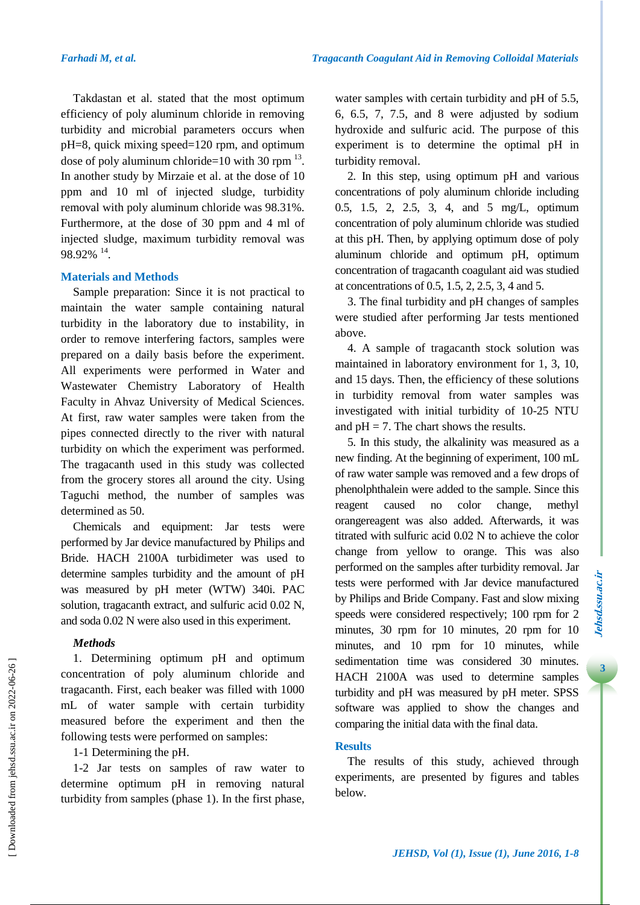Takdastan et al. stated that the most optimum efficiency of poly aluminum chloride in removing turbidity and microbial parameters occurs when pH=8, quick mixing speed=120 rpm, and optimum dose of poly aluminum chloride=10 with 30 rpm  $^{13}$ . In another study by Mirzaie et al. at the dose of 10 ppm and 10 ml of injected sludge, turbidity removal with poly aluminum chloride was 98.31%. Furthermore, at the dose of 30 ppm and 4 ml of injected sludge, maximum turbidity removal was  $98.92\%$ <sup>14</sup>.

### **Materials and Methods**

Sample preparation: Since it is not practical to maintain the water sample containing natural turbidity in the laboratory due to instability, in order to remove interfering factors, samples were prepared on a daily basis before the experiment. All experiments were performed in Water and Wastewater Chemistry Laboratory of Health Faculty in Ahvaz University of Medical Sciences. At first, raw water samples were taken from the pipes connected directly to the river with natural turbidity on which the experiment was performed. The tragacanth used in this study was collected from the grocery stores all around the city. Using Taguchi method, the number of samples was determined as 50.

Chemicals and equipment: Jar tests were performed by Jar device manufactured by Philips and Bride. HACH 2100A turbidimeter was used to determine samples turbidity and the amount of pH was measured by pH meter (WTW) 340i. PAC solution, tragacanth extract, and sulfuric acid 0.02 N, and soda 0.02 N were also used in this experiment.

#### *Methods*

1. Determining optimum pH and optimum concentration of poly aluminum chloride and tragacanth. First, each beaker was filled with 1000 mL of water sample with certain turbidity measured before the experiment and then the following tests were performed on samples:

1-1 Determining the pH.

1-2 Jar tests on samples of raw water to determine optimum pH in removing natural turbidity from samples (phase 1). In the first phase, water samples with certain turbidity and pH of 5.5, 6, 6.5, 7, 7.5, and 8 were adjusted by sodium hydroxide and sulfuric acid. The purpose of this experiment is to determine the optimal pH in turbidity removal.

2. In this step, using optimum pH and various concentrations of poly aluminum chloride including 0.5, 1.5, 2, 2.5, 3, 4, and 5 mg/L, optimum concentration of poly aluminum chloride was studied at this pH. Then, by applying optimum dose of poly aluminum chloride and optimum pH, optimum concentration of tragacanth coagulant aid was studied at concentrations of 0.5, 1.5, 2, 2.5, 3, 4 and 5.

3. The final turbidity and pH changes of samples were studied after performing Jar tests mentioned above.

4. A sample of tragacanth stock solution was maintained in laboratory environment for 1, 3, 10, and 15 days. Then, the efficiency of these solutions in turbidity removal from water samples was investigated with initial turbidity of 10-25 NTU and  $pH = 7$ . The chart shows the results.

5. In this study, the alkalinity was measured as a new finding. At the beginning of experiment, 100 mL of raw water sample was removed and a few drops of phenolphthalein were added to the sample. Since this reagent caused no color change, methyl orangereagent was also added. Afterwards, it was titrated with sulfuric acid 0.02 N to achieve the color change from yellow to orange. This was also performed on the samples after turbidity removal. Jar tests were performed with Jar device manufactured by Philips and Bride Company. Fast and slow mixing speeds were considered respectively; 100 rpm for 2 minutes, 30 rpm for 10 minutes, 20 rpm for 10 minutes, and 10 rpm for 10 minutes, while sedimentation time was considered 30 minutes. HACH 2100A was used to determine samples turbidity and pH was measured by pH meter. SPSS software was applied to show the changes and comparing the initial data with the final data.

# **Results**

The results of this study, achieved through experiments, are presented by figures and tables below.

 $\overline{3}$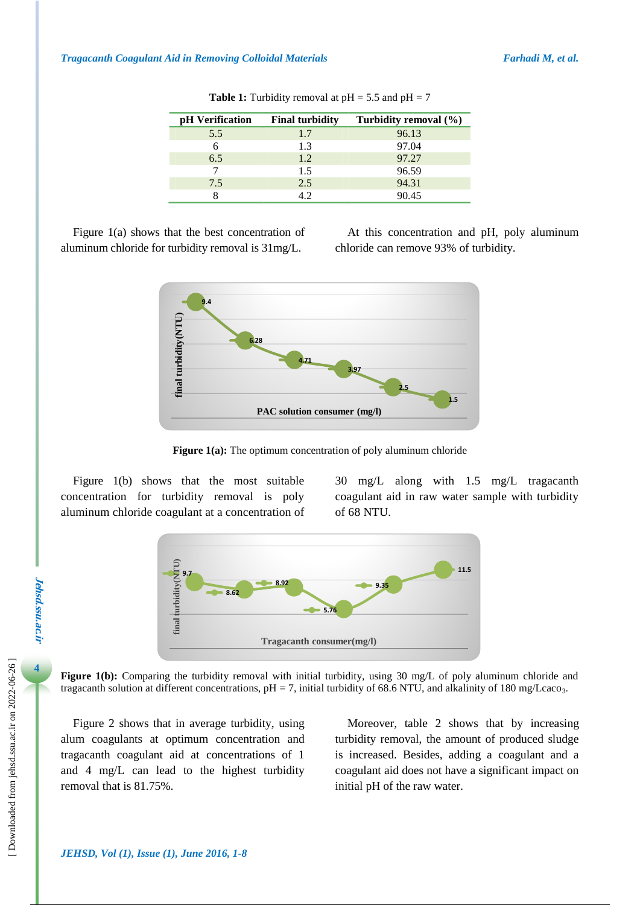| pH Verification | <b>Final turbidity</b> | Turbidity removal (%) |
|-----------------|------------------------|-----------------------|
| 5.5             | 1.7                    | 96.13                 |
|                 | 1.3                    | 97.04                 |
| 6.5             | 1.2                    | 97.27                 |
|                 | 1.5                    | 96.59                 |
| 7.5             | 2.5                    | 94.31                 |
|                 | 4.2                    | 90.45                 |

**Table 1:** Turbidity removal at  $pH = 5.5$  and  $pH = 7$ 

Figure 1(a) shows that the best concentration of aluminum chloride for turbidity removal is 31mg/L.

At this concentration and pH, poly aluminum chloride can remove 93% of turbidity.



**Figure 1(a):** The optimum concentration of poly aluminum chloride

Figure 1(b) shows that the most suitable concentration for turbidity removal is poly aluminum chloride coagulant at a concentration of 30 mg/L along with 1.5 mg/L tragacanth coagulant aid in raw water sample with turbidity of 68 NTU.



**Figure 1(b):** Comparing the turbidity removal with initial turbidity, using 30 mg/L of poly aluminum chloride and tragacanth solution at different concentrations,  $pH = 7$ , initial turbidity of 68.6 NTU, and alkalinity of 180 mg/Lcaco<sub>3</sub>.

Figure 2 shows that in average turbidity, using alum coagulants at optimum concentration and tragacanth coagulant aid at concentrations of 1 and 4 mg/L can lead to the highest turbidity removal that is 81.75%.

Moreover, table 2 shows that by increasing turbidity removal, the amount of produced sludge is increased. Besides, adding a coagulant and a coagulant aid does not have a significant impact on initial pH of the raw water.

**4**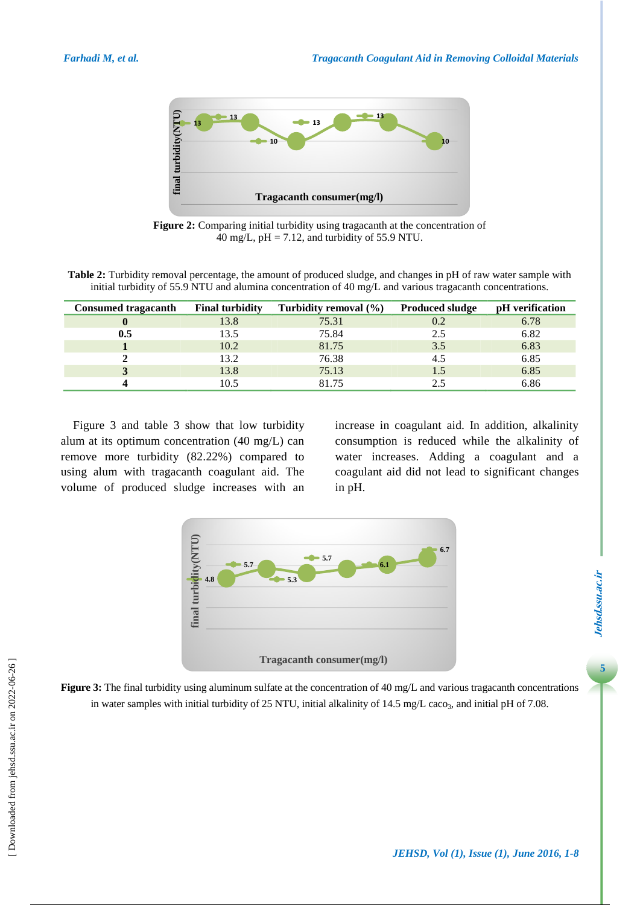

**Figure 2:** Comparing initial turbidity using tragacanth at the concentration of 40 mg/L,  $pH = 7.12$ , and turbidity of 55.9 NTU.

**Table 2:** Turbidity removal percentage, the amount of produced sludge, and changes in pH of raw water sample with initial turbidity of 55.9 NTU and alumina concentration of 40 mg/L and various tragacanth concentrations.

| <b>Consumed tragacanth</b> | <b>Final turbidity</b> | Turbidity removal $(\% )$ | <b>Produced sludge</b> | pH verification |
|----------------------------|------------------------|---------------------------|------------------------|-----------------|
|                            | 13.8                   | 75.31                     | 0.2                    | 6.78            |
| 0.5                        | 13.5                   | 75.84                     | 2.5                    | 6.82            |
|                            | 10.2                   | 81.75                     | 3.5                    | 6.83            |
|                            | 13.2                   | 76.38                     | 4.5                    | 6.85            |
|                            | 13.8                   | 75.13                     |                        | 6.85            |
|                            | 10.5                   | 81.75                     |                        | 6.86            |

Figure 3 and table 3 show that low turbidity alum at its optimum concentration (40 mg/L) can remove more turbidity (82.22%) compared to using alum with tragacanth coagulant aid. The volume of produced sludge increases with an increase in coagulant aid. In addition, alkalinity consumption is reduced while the alkalinity of water increases. Adding a coagulant and a coagulant aid did not lead to significant changes in pH.



**Figure 3:** The final turbidity using aluminum sulfate at the concentration of 40 mg/L and various tragacanth concentrations in water samples with initial turbidity of 25 NTU, initial alkalinity of 14.5 mg/L caco<sub>3</sub>, and initial pH of 7.08.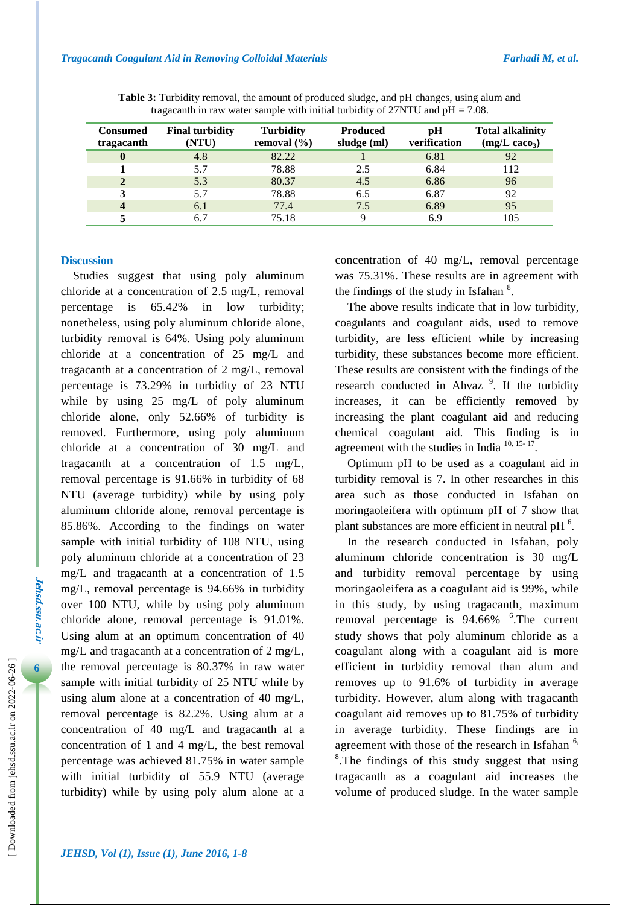| <b>Consumed</b><br>tragacanth | <b>Final turbidity</b><br>(NTU) | <b>Turbidity</b><br>removal $(\% )$ | <b>Produced</b><br>sludge (ml) | pH<br>verification | <b>Total alkalinity</b><br>$(mg/L \csc_3)$ |
|-------------------------------|---------------------------------|-------------------------------------|--------------------------------|--------------------|--------------------------------------------|
| $\mathbf 0$                   | 4.8                             | 82.22                               |                                | 6.81               | 92                                         |
|                               | 5.7                             | 78.88                               | 2.5                            | 6.84               | 112                                        |
|                               | 5.3                             | 80.37                               | 4.5                            | 6.86               | 96                                         |
|                               | 5.7                             | 78.88                               | 6.5                            | 6.87               | 92                                         |
|                               | 6.1                             | 77.4                                | 7.5                            | 6.89               | 95                                         |
|                               | 6.7                             | 75.18                               |                                | 6.9                | 105                                        |

**Table 3:** Turbidity removal, the amount of produced sludge, and pH changes, using alum and tragacanth in raw water sample with initial turbidity of  $27NTU$  and  $pH = 7.08$ .

#### **Discussion**

Studies suggest that using poly aluminum chloride at a concentration of 2.5 mg/L, removal percentage is 65.42% in low turbidity; nonetheless, using poly aluminum chloride alone, turbidity removal is 64%. Using poly aluminum chloride at a concentration of 25 mg/L and tragacanth at a concentration of 2 mg/L, removal percentage is 73.29% in turbidity of 23 NTU while by using 25 mg/L of poly aluminum chloride alone, only 52.66% of turbidity is removed. Furthermore, using poly aluminum chloride at a concentration of 30 mg/L and tragacanth at a concentration of 1.5 mg/L, removal percentage is 91.66% in turbidity of 68 NTU (average turbidity) while by using poly aluminum chloride alone, removal percentage is 85.86%. According to the findings on water sample with initial turbidity of 108 NTU, using poly aluminum chloride at a concentration of 23 mg/L and tragacanth at a concentration of 1.5 mg/L, removal percentage is 94.66% in turbidity over 100 NTU, while by using poly aluminum chloride alone, removal percentage is 91.01%. Using alum at an optimum concentration of 40 mg/L and tragacanth at a concentration of 2 mg/L, the removal percentage is 80.37% in raw water sample with initial turbidity of 25 NTU while by using alum alone at a concentration of 40 mg/L, removal percentage is 82.2%. Using alum at a concentration of 40 mg/L and tragacanth at a concentration of 1 and 4 mg/L, the best removal percentage was achieved 81.75% in water sample with initial turbidity of 55.9 NTU (average turbidity) while by using poly alum alone at a concentration of 40 mg/L, removal percentage was 75.31%. These results are in agreement with the findings of the study in Isfahan<sup>8</sup>.

The above results indicate that in low turbidity, coagulants and coagulant aids, used to remove turbidity, are less efficient while by increasing turbidity, these substances become more efficient. These results are consistent with the findings of the research conducted in Ahvaz<sup>9</sup>. If the turbidity increases, it can be efficiently removed by increasing the plant coagulant aid and reducing chemical coagulant aid. This finding is in agreement with the studies in India  $10, 15 - 17$ .

Optimum pH to be used as a coagulant aid in turbidity removal is 7. In other researches in this area such as those conducted in Isfahan on moringaoleifera with optimum pH of 7 show that plant substances are more efficient in neutral pH $<sup>6</sup>$ .</sup>

In the research conducted in Isfahan, poly aluminum chloride concentration is 30 mg/L and turbidity removal percentage by using moringaoleifera as a coagulant aid is 99%, while in this study, by using tragacanth, maximum removal percentage is 94.66% <sup>6</sup>. The current study shows that poly aluminum chloride as a coagulant along with a coagulant aid is more efficient in turbidity removal than alum and removes up to 91.6% of turbidity in average turbidity. However, alum along with tragacanth coagulant aid removes up to 81.75% of turbidity in average turbidity. These findings are in agreement with those of the research in Isfahan  $6$ , <sup>8</sup>. The findings of this study suggest that using tragacanth as a coagulant aid increases the volume of produced sludge. In the water sample

**Jehsd.ssu.ac.ir**

**Jehsd.ssu.ac.n** 

**6**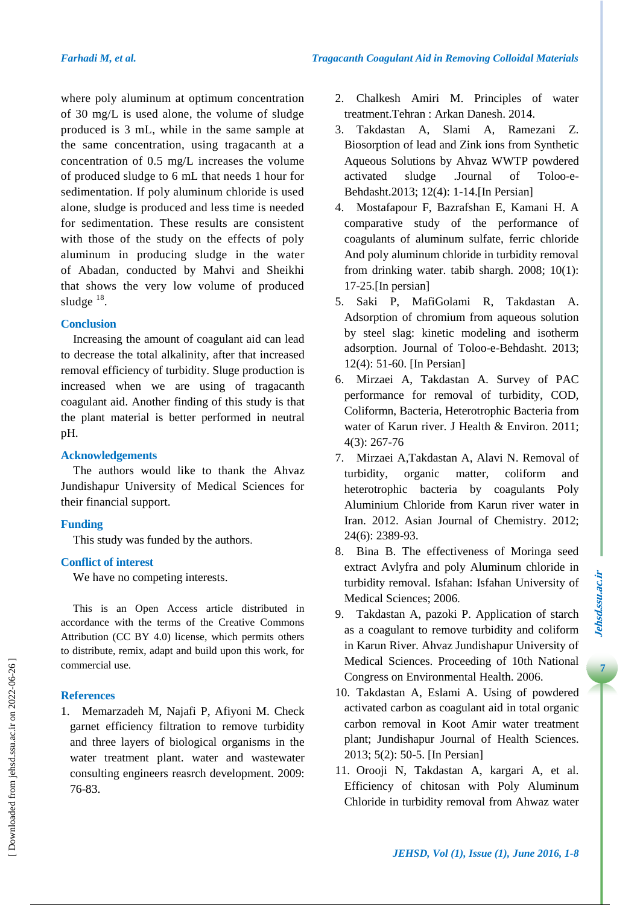where poly aluminum at optimum concentration of 30 mg/L is used alone, the volume of sludge produced is 3 mL, while in the same sample at the same concentration, using tragacanth at a concentration of 0.5 mg/L increases the volume of produced sludge to 6 mL that needs 1 hour for sedimentation. If poly aluminum chloride is used alone, sludge is produced and less time is needed for sedimentation. These results are consistent with those of the study on the effects of poly aluminum in producing sludge in the water of Abadan, conducted by Mahvi and Sheikhi that shows the very low volume of produced sludge  $^{18}$ .

# **Conclusion**

Increasing the amount of coagulant aid can lead to decrease the total alkalinity, after that increased removal efficiency of turbidity. Sluge production is increased when we are using of tragacanth coagulant aid. Another finding of this study is that the plant material is better performed in neutral pH.

# **Acknowledgements**

The authors would like to thank the Ahvaz Jundishapur University of Medical Sciences for their financial support.

# **Funding**

This study was funded by the authors.

# **Conflict of interest**

We have no competing interests.

This is an Open Access article distributed in accordance with the terms of the Creative Commons Attribution (CC BY 4.0) license, which permits others to distribute, remix, adapt and build upon this work, for commercial use.

### **References**

1. Memarzadeh M, Najafi P, Afiyoni M. Check garnet efficiency filtration to remove turbidity and three layers of biological organisms in the water treatment plant. water and wastewater consulting engineers reasrch development. 2009: 76-83.

- 2. Chalkesh Amiri M. Principles of water treatment.Tehran : Arkan Danesh. 2014.
- 3. Takdastan A, Slami A, Ramezani Z. Biosorption of lead and Zink ions from Synthetic Aqueous Solutions by Ahvaz WWTP powdered activated sludge .Journal of Toloo-e-Behdasht.2013; 12(4): 1-14.[In Persian]
- 4. Mostafapour F, Bazrafshan E, Kamani H. A comparative study of the performance of coagulants of aluminum sulfate, ferric chloride And poly aluminum chloride in turbidity removal from drinking water. tabib shargh. 2008; 10(1): 17-25.[In persian]
- 5. Saki P, MafiGolami R, Takdastan A. Adsorption of chromium from aqueous solution by steel slag: kinetic modeling and isotherm adsorption. Journal of Toloo-e-Behdasht. 2013; 12(4): 51-60. [In Persian]
- 6. Mirzaei A, Takdastan A. Survey of PAC performance for removal of turbidity, COD, Coliformn, Bacteria, Heterotrophic Bacteria from water of Karun river. J Health & Environ. 2011; 4(3): 267-76
- 7. Mirzaei A,Takdastan A, Alavi N. Removal of turbidity, organic matter, coliform and heterotrophic bacteria by coagulants Poly Aluminium Chloride from Karun river water in Iran. 2012. Asian Journal of Chemistry. 2012; 24(6): 2389-93.
- 8. Bina B. The effectiveness of Moringa seed extract Avlyfra and poly Aluminum chloride in turbidity removal. Isfahan: Isfahan University of Medical Sciences; 2006.
- 9. Takdastan A, pazoki P. Application of starch as a coagulant to remove turbidity and coliform in Karun River. Ahvaz Jundishapur University of Medical Sciences. Proceeding of 10th National Congress on Environmental Health. 2006.
- 10. Takdastan A, Eslami A. Using of powdered activated carbon as coagulant aid in total organic carbon removal in Koot Amir water treatment plant; Jundishapur Journal of Health Sciences. 2013; 5(2): 50-5. [In Persian]
- 11. Orooji N, Takdastan A, kargari A, et al. Efficiency of chitosan with Poly Aluminum Chloride in turbidity removal from Ahwaz water

 $\overline{7}$